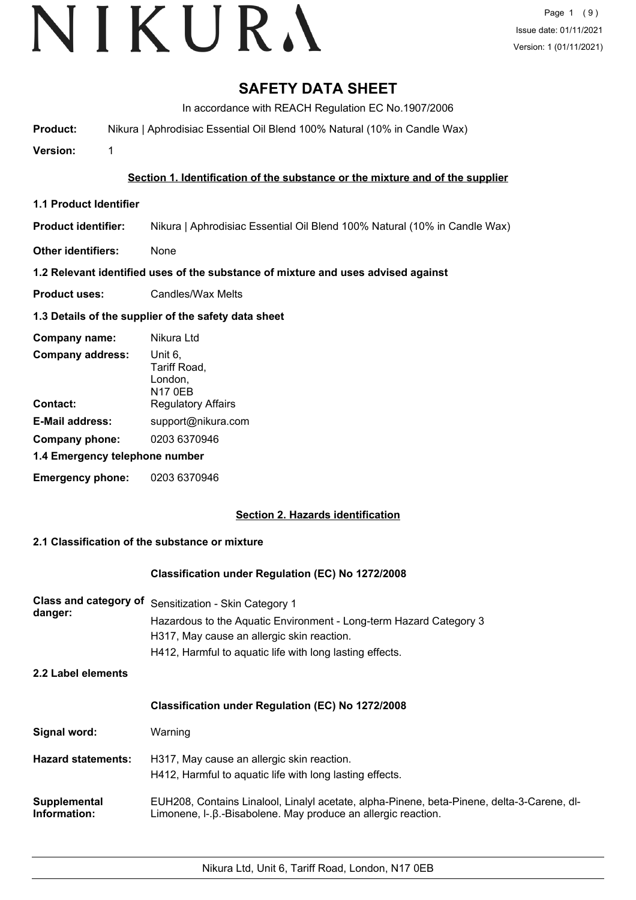# **SAFETY DATA SHEET**

In accordance with REACH Regulation EC No.1907/2006

**Product:** Nikura | Aphrodisiac Essential Oil Blend 100% Natural (10% in Candle Wax)

**Version:** 1

## **Section 1. Identification of the substance or the mixture and of the supplier**

- **1.1 Product Identifier**
- **Product identifier:** Nikura | Aphrodisiac Essential Oil Blend 100% Natural (10% in Candle Wax)
- **Other identifiers:** None

### **1.2 Relevant identified uses of the substance of mixture and uses advised against**

**Product uses:** Candles/Wax Melts

### **1.3 Details of the supplier of the safety data sheet**

| Company name:                  | Nikura Ltd                                           |
|--------------------------------|------------------------------------------------------|
| <b>Company address:</b>        | Unit 6,<br>Tariff Road,<br>London,<br><b>N17 0EB</b> |
| Contact:                       | <b>Regulatory Affairs</b>                            |
| <b>E-Mail address:</b>         | support@nikura.com                                   |
| Company phone:                 | 0203 6370946                                         |
| 1.4 Emergency telephone number |                                                      |
| <b>Emergency phone:</b>        | 0203 6370946                                         |

# **Section 2. Hazards identification**

# **2.1 Classification of the substance or mixture**

#### **Classification under Regulation (EC) No 1272/2008**

| <b>Class and category of</b><br>danger: | Sensitization - Skin Category 1<br>Hazardous to the Aquatic Environment - Long-term Hazard Category 3<br>H317, May cause an allergic skin reaction.<br>H412, Harmful to aquatic life with long lasting effects. |
|-----------------------------------------|-----------------------------------------------------------------------------------------------------------------------------------------------------------------------------------------------------------------|
| 2.2 Label elements                      |                                                                                                                                                                                                                 |
|                                         | <b>Classification under Regulation (EC) No 1272/2008</b>                                                                                                                                                        |
| Signal word:                            | Warning                                                                                                                                                                                                         |
| <b>Hazard statements:</b>               | H317, May cause an allergic skin reaction.<br>H412, Harmful to aquatic life with long lasting effects.                                                                                                          |
| Supplemental<br>Information:            | EUH208, Contains Linalool, Linalyl acetate, alpha-Pinene, beta-Pinene, delta-3-Carene, dl-<br>Limonene, I-. B.-Bisabolene. May produce an allergic reaction.                                                    |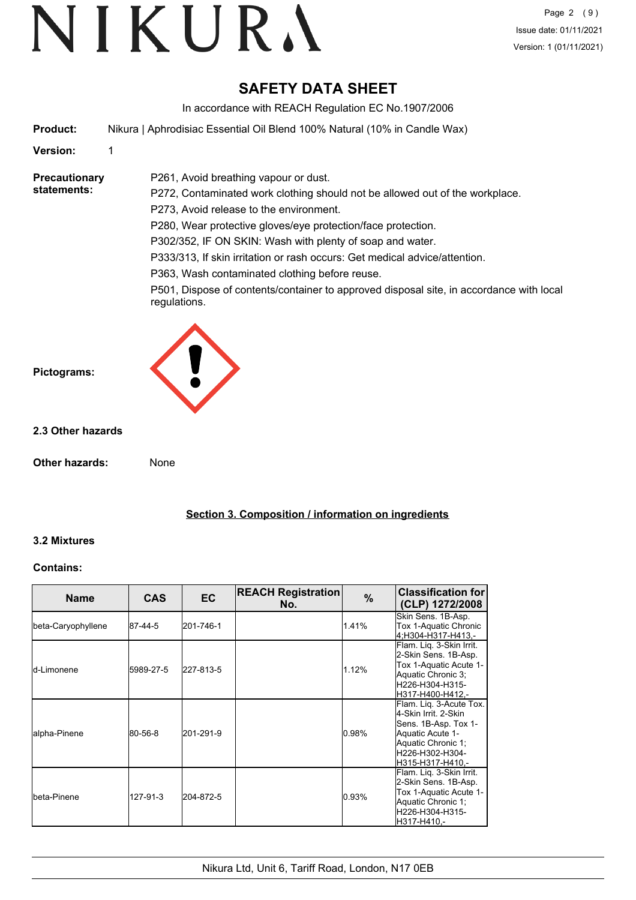# **SAFETY DATA SHEET**

In accordance with REACH Regulation EC No.1907/2006

**Product:** Nikura | Aphrodisiac Essential Oil Blend 100% Natural (10% in Candle Wax)

P261, Avoid breathing vapour or dust.

### **Version:** 1

#### **Precautionary statements:**

P272, Contaminated work clothing should not be allowed out of the workplace. P273, Avoid release to the environment. P280, Wear protective gloves/eye protection/face protection. P302/352, IF ON SKIN: Wash with plenty of soap and water. P333/313, If skin irritation or rash occurs: Get medical advice/attention. P363, Wash contaminated clothing before reuse.

P501, Dispose of contents/container to approved disposal site, in accordance with local regulations.



#### **2.3 Other hazards**

**Other hazards:** None

**Section 3. Composition / information on ingredients**

#### **3.2 Mixtures**

#### **Contains:**

| <b>Name</b>        | <b>CAS</b> | EC.       | <b>REACH Registration</b><br>No. | $\%$  | <b>Classification for</b><br>(CLP) 1272/2008                                                                                                             |
|--------------------|------------|-----------|----------------------------------|-------|----------------------------------------------------------------------------------------------------------------------------------------------------------|
| beta-Caryophyllene | 87-44-5    | 201-746-1 |                                  | 1.41% | Skin Sens. 1B-Asp.<br>Tox 1-Aquatic Chronic<br>4:H304-H317-H413.-                                                                                        |
| ld-Limonene        | 5989-27-5  | 227-813-5 |                                  | 1.12% | Flam. Liq. 3-Skin Irrit.<br>2-Skin Sens. 1B-Asp.<br>Tox 1-Aquatic Acute 1-<br>Aquatic Chronic 3;<br>H226-H304-H315-<br>H317-H400-H412.-                  |
| alpha-Pinene       | 80-56-8    | 201-291-9 |                                  | 0.98% | Flam. Liq. 3-Acute Tox.<br>4-Skin Irrit, 2-Skin<br>Sens. 1B-Asp. Tox 1-<br>Aquatic Acute 1-<br>Aquatic Chronic 1;<br>H226-H302-H304-<br>H315-H317-H410.- |
| Ibeta-Pinene       | 127-91-3   | 204-872-5 |                                  | 0.93% | Flam. Liq. 3-Skin Irrit.<br>2-Skin Sens. 1B-Asp.<br>Tox 1-Aquatic Acute 1-<br>Aquatic Chronic 1;<br>H226-H304-H315-<br>H317-H410.-                       |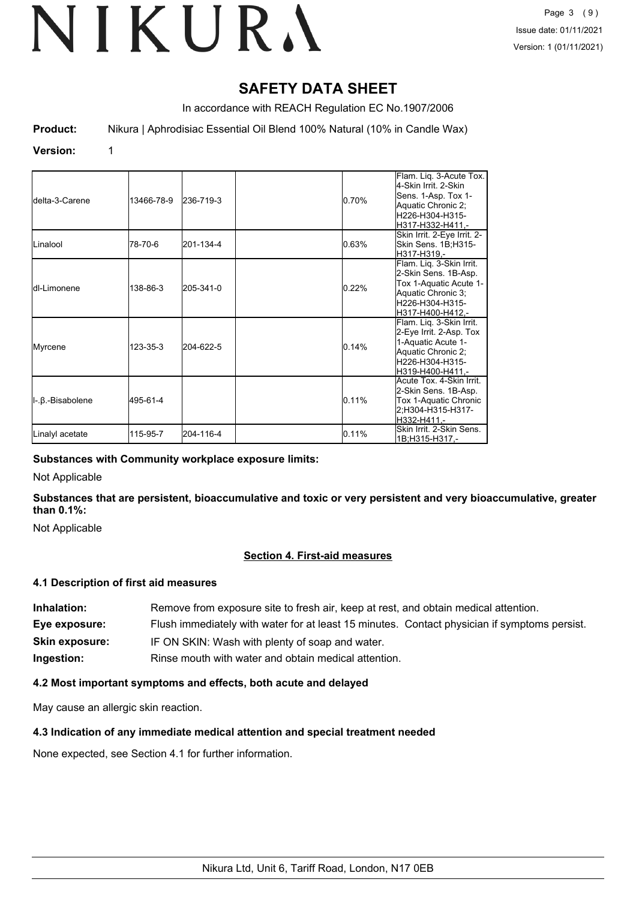# **SAFETY DATA SHEET**

In accordance with REACH Regulation EC No.1907/2006

**Product:** Nikura | Aphrodisiac Essential Oil Blend 100% Natural (10% in Candle Wax)

#### **Version:** 1

| Idelta-3-Carene   | 13466-78-9 | 236-719-3 | 0.70% | Flam. Lig. 3-Acute Tox.<br>4-Skin Irrit, 2-Skin<br>Sens. 1-Asp. Tox 1-<br>Aquatic Chronic 2;<br>lH226-H304-H315-<br>lH317-H332-H411.-   |
|-------------------|------------|-----------|-------|-----------------------------------------------------------------------------------------------------------------------------------------|
| Linalool          | 78-70-6    | 201-134-4 | 0.63% | Skin Irrit. 2-Eye Irrit. 2-<br>Skin Sens. 1B;H315-<br>H317-H319.-                                                                       |
| Idl-Limonene      | 138-86-3   | 205-341-0 | 0.22% | Flam. Liq. 3-Skin Irrit.<br>2-Skin Sens. 1B-Asp.<br>Tox 1-Aquatic Acute 1-<br>Aquatic Chronic 3;<br>H226-H304-H315-<br>H317-H400-H412.- |
| Myrcene           | 123-35-3   | 204-622-5 | 0.14% | Flam. Liq. 3-Skin Irrit.<br>2-Eye Irrit. 2-Asp. Tox<br>1-Aquatic Acute 1-<br>Aquatic Chronic 2;<br>H226-H304-H315-<br>lH319-H400-H411.- |
| II-.β.-Bisabolene | 495-61-4   |           | 0.11% | Acute Tox. 4-Skin Irrit.<br>2-Skin Sens. 1B-Asp.<br>Tox 1-Aquatic Chronic<br>2:H304-H315-H317-<br>H332-H411.-                           |
| Linalyl acetate   | 115-95-7   | 204-116-4 | 0.11% | Skin Irrit. 2-Skin Sens.<br>1B;H315-H317,-                                                                                              |

#### **Substances with Community workplace exposure limits:**

Not Applicable

**Substances that are persistent, bioaccumulative and toxic or very persistent and very bioaccumulative, greater than 0.1%:**

Not Applicable

# **Section 4. First-aid measures**

### **4.1 Description of first aid measures**

**Inhalation:** Remove from exposure site to fresh air, keep at rest, and obtain medical attention. **Eye exposure:** Flush immediately with water for at least 15 minutes. Contact physician if symptoms persist. **Skin exposure:** IF ON SKIN: Wash with plenty of soap and water. **Ingestion:** Rinse mouth with water and obtain medical attention.

# **4.2 Most important symptoms and effects, both acute and delayed**

May cause an allergic skin reaction.

# **4.3 Indication of any immediate medical attention and special treatment needed**

None expected, see Section 4.1 for further information.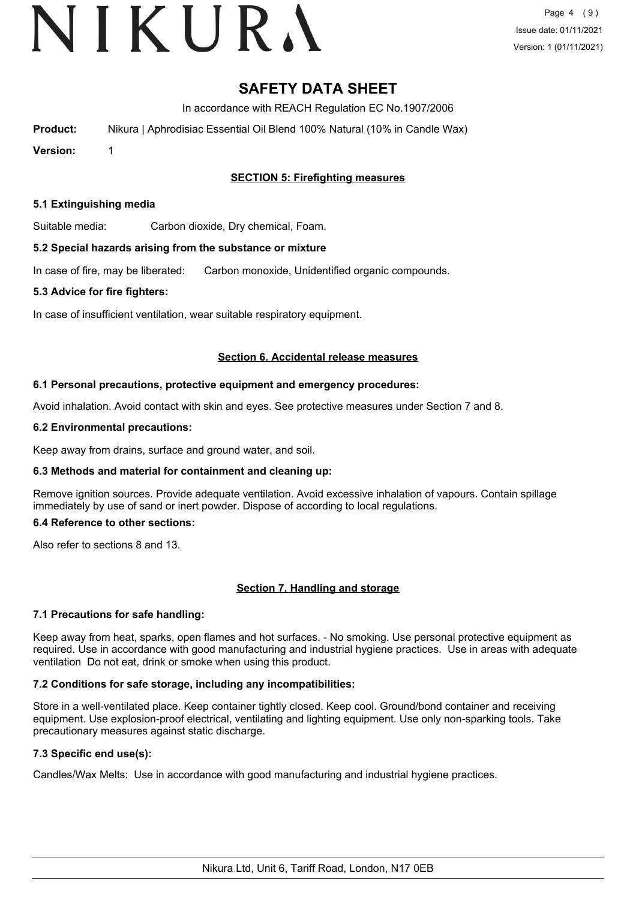# VIKURA

# **SAFETY DATA SHEET**

In accordance with REACH Regulation EC No.1907/2006

**Product:** Nikura | Aphrodisiac Essential Oil Blend 100% Natural (10% in Candle Wax)

**Version:** 1

## **SECTION 5: Firefighting measures**

#### **5.1 Extinguishing media**

Suitable media: Carbon dioxide, Dry chemical, Foam.

#### **5.2 Special hazards arising from the substance or mixture**

In case of fire, may be liberated: Carbon monoxide, Unidentified organic compounds.

#### **5.3 Advice for fire fighters:**

In case of insufficient ventilation, wear suitable respiratory equipment.

#### **Section 6. Accidental release measures**

#### **6.1 Personal precautions, protective equipment and emergency procedures:**

Avoid inhalation. Avoid contact with skin and eyes. See protective measures under Section 7 and 8.

#### **6.2 Environmental precautions:**

Keep away from drains, surface and ground water, and soil.

#### **6.3 Methods and material for containment and cleaning up:**

Remove ignition sources. Provide adequate ventilation. Avoid excessive inhalation of vapours. Contain spillage immediately by use of sand or inert powder. Dispose of according to local regulations.

#### **6.4 Reference to other sections:**

Also refer to sections 8 and 13.

#### **Section 7. Handling and storage**

#### **7.1 Precautions for safe handling:**

Keep away from heat, sparks, open flames and hot surfaces. - No smoking. Use personal protective equipment as required. Use in accordance with good manufacturing and industrial hygiene practices. Use in areas with adequate ventilation Do not eat, drink or smoke when using this product.

#### **7.2 Conditions for safe storage, including any incompatibilities:**

Store in a well-ventilated place. Keep container tightly closed. Keep cool. Ground/bond container and receiving equipment. Use explosion-proof electrical, ventilating and lighting equipment. Use only non-sparking tools. Take precautionary measures against static discharge.

## **7.3 Specific end use(s):**

Candles/Wax Melts: Use in accordance with good manufacturing and industrial hygiene practices.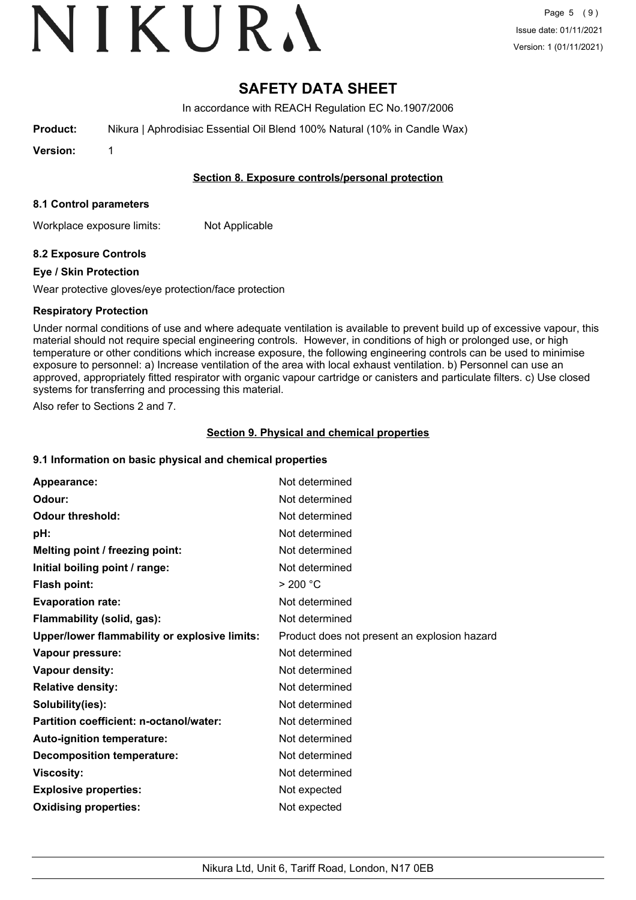# VIKURA

Page 5 (9) Issue date: 01/11/2021 Version: 1 (01/11/2021)

# **SAFETY DATA SHEET**

In accordance with REACH Regulation EC No.1907/2006

**Product:** Nikura | Aphrodisiac Essential Oil Blend 100% Natural (10% in Candle Wax)

**Version:** 1

## **Section 8. Exposure controls/personal protection**

#### **8.1 Control parameters**

Workplace exposure limits: Not Applicable

# **8.2 Exposure Controls**

### **Eye / Skin Protection**

Wear protective gloves/eye protection/face protection

### **Respiratory Protection**

Under normal conditions of use and where adequate ventilation is available to prevent build up of excessive vapour, this material should not require special engineering controls. However, in conditions of high or prolonged use, or high temperature or other conditions which increase exposure, the following engineering controls can be used to minimise exposure to personnel: a) Increase ventilation of the area with local exhaust ventilation. b) Personnel can use an approved, appropriately fitted respirator with organic vapour cartridge or canisters and particulate filters. c) Use closed systems for transferring and processing this material.

Also refer to Sections 2 and 7.

### **Section 9. Physical and chemical properties**

#### **9.1 Information on basic physical and chemical properties**

| Appearance:                                   | Not determined                               |
|-----------------------------------------------|----------------------------------------------|
| Odour:                                        | Not determined                               |
| <b>Odour threshold:</b>                       | Not determined                               |
| pH:                                           | Not determined                               |
| Melting point / freezing point:               | Not determined                               |
| Initial boiling point / range:                | Not determined                               |
| <b>Flash point:</b>                           | > 200 °C                                     |
| <b>Evaporation rate:</b>                      | Not determined                               |
| Flammability (solid, gas):                    | Not determined                               |
| Upper/lower flammability or explosive limits: | Product does not present an explosion hazard |
| Vapour pressure:                              | Not determined                               |
| Vapour density:                               | Not determined                               |
| <b>Relative density:</b>                      | Not determined                               |
| Solubility(ies):                              | Not determined                               |
| Partition coefficient: n-octanol/water:       | Not determined                               |
| Auto-ignition temperature:                    | Not determined                               |
| <b>Decomposition temperature:</b>             | Not determined                               |
| <b>Viscosity:</b>                             | Not determined                               |
| <b>Explosive properties:</b>                  | Not expected                                 |
| <b>Oxidising properties:</b>                  | Not expected                                 |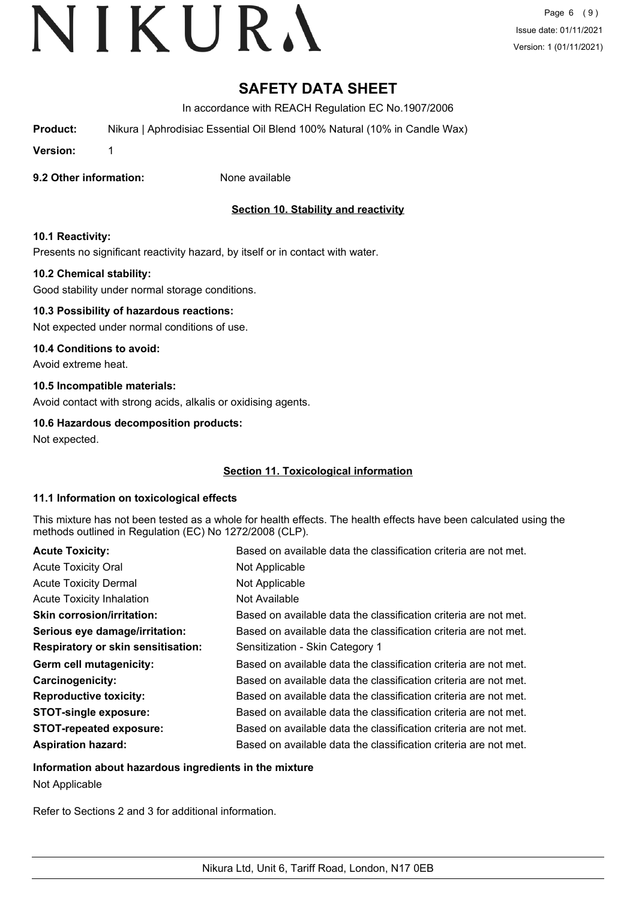# **SAFETY DATA SHEET**

In accordance with REACH Regulation EC No.1907/2006

**Product:** Nikura | Aphrodisiac Essential Oil Blend 100% Natural (10% in Candle Wax)

**Version:** 1

**9.2 Other information:** None available

# **Section 10. Stability and reactivity**

### **10.1 Reactivity:**

Presents no significant reactivity hazard, by itself or in contact with water.

### **10.2 Chemical stability:**

Good stability under normal storage conditions.

## **10.3 Possibility of hazardous reactions:**

Not expected under normal conditions of use.

#### **10.4 Conditions to avoid:**

Avoid extreme heat.

### **10.5 Incompatible materials:**

Avoid contact with strong acids, alkalis or oxidising agents.

### **10.6 Hazardous decomposition products:**

Not expected.

# **Section 11. Toxicological information**

#### **11.1 Information on toxicological effects**

This mixture has not been tested as a whole for health effects. The health effects have been calculated using the methods outlined in Regulation (EC) No 1272/2008 (CLP).

| <b>Acute Toxicity:</b>                    | Based on available data the classification criteria are not met. |
|-------------------------------------------|------------------------------------------------------------------|
| <b>Acute Toxicity Oral</b>                | Not Applicable                                                   |
| <b>Acute Toxicity Dermal</b>              | Not Applicable                                                   |
| <b>Acute Toxicity Inhalation</b>          | Not Available                                                    |
| <b>Skin corrosion/irritation:</b>         | Based on available data the classification criteria are not met. |
| Serious eye damage/irritation:            | Based on available data the classification criteria are not met. |
| <b>Respiratory or skin sensitisation:</b> | Sensitization - Skin Category 1                                  |
| Germ cell mutagenicity:                   | Based on available data the classification criteria are not met. |
| Carcinogenicity:                          | Based on available data the classification criteria are not met. |
| <b>Reproductive toxicity:</b>             | Based on available data the classification criteria are not met. |
| <b>STOT-single exposure:</b>              | Based on available data the classification criteria are not met. |
| <b>STOT-repeated exposure:</b>            | Based on available data the classification criteria are not met. |
| <b>Aspiration hazard:</b>                 | Based on available data the classification criteria are not met. |

#### **Information about hazardous ingredients in the mixture**

Not Applicable

Refer to Sections 2 and 3 for additional information.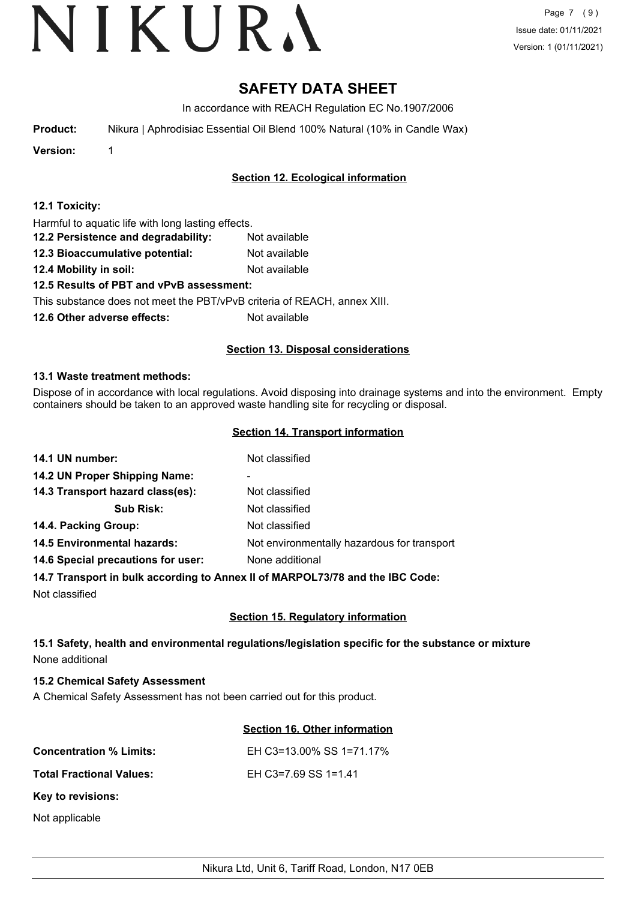Page 7 (9) Issue date: 01/11/2021 Version: 1 (01/11/2021)

# **SAFETY DATA SHEET**

In accordance with REACH Regulation EC No.1907/2006

**Product:** Nikura | Aphrodisiac Essential Oil Blend 100% Natural (10% in Candle Wax)

**Version:** 1

# **Section 12. Ecological information**

| 12.1 Toxicity: |  |  |  |  |  |  |  |  |
|----------------|--|--|--|--|--|--|--|--|
|----------------|--|--|--|--|--|--|--|--|

Harmful to aquatic life with long lasting effects.

- **12.2 Persistence and degradability:** Not available
- **12.3 Bioaccumulative potential:** Not available
- **12.4 Mobility in soil:** Not available

# **12.5 Results of PBT and vPvB assessment:**

This substance does not meet the PBT/vPvB criteria of REACH, annex XIII.

**12.6 Other adverse effects:** Not available

### **Section 13. Disposal considerations**

#### **13.1 Waste treatment methods:**

Dispose of in accordance with local regulations. Avoid disposing into drainage systems and into the environment. Empty containers should be taken to an approved waste handling site for recycling or disposal.

### **Section 14. Transport information**

| 14.1 UN number:                    | Not classified                              |
|------------------------------------|---------------------------------------------|
| 14.2 UN Proper Shipping Name:      | -                                           |
| 14.3 Transport hazard class(es):   | Not classified                              |
| <b>Sub Risk:</b>                   | Not classified                              |
| 14.4. Packing Group:               | Not classified                              |
| <b>14.5 Environmental hazards:</b> | Not environmentally hazardous for transport |
| 14.6 Special precautions for user: | None additional                             |
|                                    |                                             |

#### **14.7 Transport in bulk according to Annex II of MARPOL73/78 and the IBC Code:**

Not classified

# **Section 15. Regulatory information**

# **15.1 Safety, health and environmental regulations/legislation specific for the substance or mixture** None additional

# **15.2 Chemical Safety Assessment**

A Chemical Safety Assessment has not been carried out for this product.

# **Section 16. Other information**

| <b>Concentration % Limits:</b>  | EH C3=13.00% SS 1=71.17% |
|---------------------------------|--------------------------|
| <b>Total Fractional Values:</b> | EH C3=7.69 SS 1=1.41     |
| Key to revisions:               |                          |
| Not applicable                  |                          |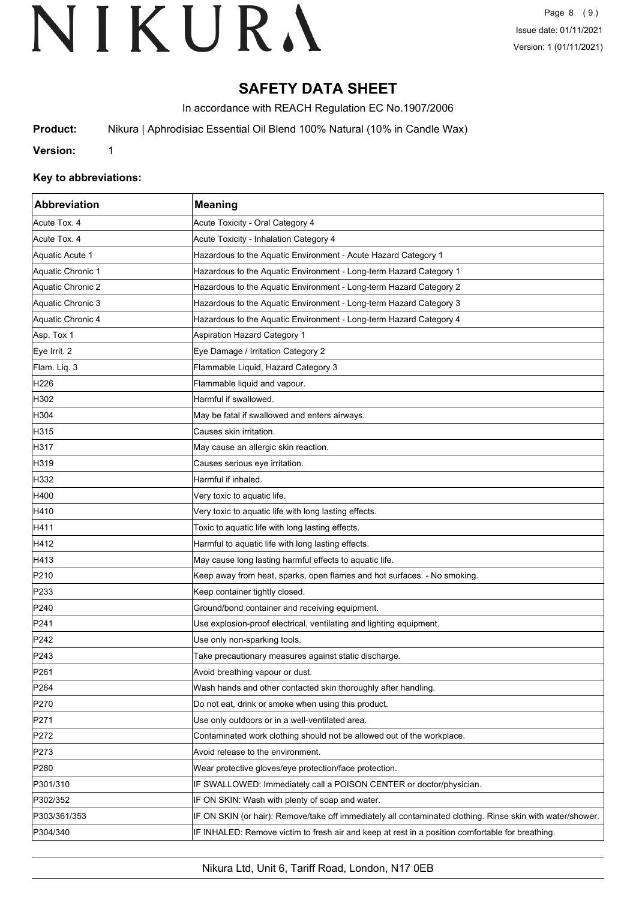# **SAFETY DATA SHEET**

In accordance with REACH Regulation EC No.1907/2006

**Product:** Nikura | Aphrodisiac Essential Oil Blend 100% Natural (10% in Candle Wax)

**Version:** 1

#### **Key to abbreviations:**

| Abbreviation      | <b>Meaning</b>                                                                                             |
|-------------------|------------------------------------------------------------------------------------------------------------|
| Acute Tox. 4      | Acute Toxicity - Oral Category 4                                                                           |
| Acute Tox. 4      | Acute Toxicity - Inhalation Category 4                                                                     |
| Aquatic Acute 1   | Hazardous to the Aquatic Environment - Acute Hazard Category 1                                             |
| Aquatic Chronic 1 | Hazardous to the Aquatic Environment - Long-term Hazard Category 1                                         |
| Aquatic Chronic 2 | Hazardous to the Aquatic Environment - Long-term Hazard Category 2                                         |
| Aquatic Chronic 3 | Hazardous to the Aquatic Environment - Long-term Hazard Category 3                                         |
| Aquatic Chronic 4 | Hazardous to the Aquatic Environment - Long-term Hazard Category 4                                         |
| Asp. Tox 1        | <b>Aspiration Hazard Category 1</b>                                                                        |
| Eye Irrit. 2      | Eye Damage / Irritation Category 2                                                                         |
| Flam. Liq. 3      | Flammable Liquid, Hazard Category 3                                                                        |
| H <sub>226</sub>  | Flammable liquid and vapour.                                                                               |
| H302              | Harmful if swallowed.                                                                                      |
| H304              | May be fatal if swallowed and enters airways.                                                              |
| H315              | Causes skin irritation.                                                                                    |
| H317              | May cause an allergic skin reaction.                                                                       |
| H319              | Causes serious eye irritation.                                                                             |
| H332              | Harmful if inhaled.                                                                                        |
| H400              | Very toxic to aquatic life.                                                                                |
| H410              | Very toxic to aquatic life with long lasting effects.                                                      |
| H411              | Toxic to aquatic life with long lasting effects.                                                           |
| H412              | Harmful to aquatic life with long lasting effects.                                                         |
| H413              | May cause long lasting harmful effects to aquatic life.                                                    |
| P210              | Keep away from heat, sparks, open flames and hot surfaces. - No smoking.                                   |
| P233              | Keep container tightly closed.                                                                             |
| P240              | Ground/bond container and receiving equipment.                                                             |
| P241              | Use explosion-proof electrical, ventilating and lighting equipment.                                        |
| P242              | Use only non-sparking tools.                                                                               |
| P243              | Take precautionary measures against static discharge.                                                      |
| P <sub>261</sub>  | Avoid breathing vapour or dust.                                                                            |
| P <sub>264</sub>  | Wash hands and other contacted skin thoroughly after handling.                                             |
| P270              | Do not eat, drink or smoke when using this product.                                                        |
| P271              | Use only outdoors or in a well-ventilated area.                                                            |
| P272              | Contaminated work clothing should not be allowed out of the workplace.                                     |
| P273              | Avoid release to the environment.                                                                          |
| P280              | Wear protective gloves/eye protection/face protection.                                                     |
| P301/310          | IF SWALLOWED: Immediately call a POISON CENTER or doctor/physician.                                        |
| P302/352          | IF ON SKIN: Wash with plenty of soap and water.                                                            |
| P303/361/353      | IF ON SKIN (or hair): Remove/take off immediately all contaminated clothing. Rinse skin with water/shower. |
| P304/340          | IF INHALED: Remove victim to fresh air and keep at rest in a position comfortable for breathing.           |